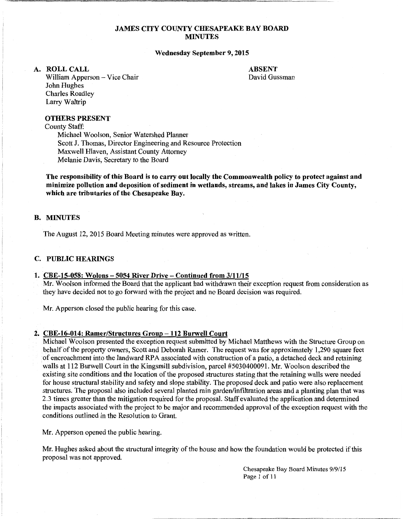### JAMES CITY COUNTY CHESAPEAKE BAY BOARD MINUTES

#### Wednesday September 9, 2015

#### A. ROLLCALL

ABSENT David Gussman

William Apperson - Vice Chair John Hughes Charles Roadley Larry Waltrip

#### OTHERS PRESENT

County Staff:

Michael Woolson, Senior Watershed Planner Scott J. Thomas, Director Engineering and Resource Protection Maxwell Hlaven, Assistant County Attorney Melanie Davis, Secretary to the Board

The responsibility of this Board is to carry out locally the Commonwealth policy to protect against and minimize pollution and deposition of sediment in wetlands, streams, and lakes in James City County, which are tributaries of the Chesapeake Bay.

## B. MINUTES

The August 12, 2015 Board Meeting minutes were approved as written.

### C. PUBLIC HEARINGS

#### 1. CBE-15-058: Wolons-5054 River Drive-Continued from 3/11/15

Mr. Woolson informed the Board that the applicant had withdrawn their exception request from consideration as they have decided not to go forward with the project and no Board decision was required.

Mr. Apperson closed the public hearing for this case.

#### 2. CBE-16-014: Ramer/Structures Group - 112 Burwell Court

Michael Woolson presented the exception request submitted by Michael Matthews with the Structure Group on behalf of the property owners, Scott and Deborah Ramer. The request was for approximately 1,290 square feet of encroachment into the landward RP A associated with construction of a patio, a detached deck and retaining walls at 112 Burwell Court in the Kingsmill subdivision, parcel #5030400091. Mr. Woolson described the existing site conditions and the location of the proposed structures stating that the retaining walls were needed for house structural stability and safety and slope stability. The proposed deck and patio were also replacement structures. The proposal also included several planted rain garden/infiltration areas and a planting plan that was 2.3 times greater than the mitigation required for the proposal. Staff evaluated the application and determined the impacts associated with the project to be major and recommended approval of the exception request with the conditions outlined in the Resolution to Grant.

Mr. Apperson opened the public hearing.

Mr. Hughes asked about the structural integrity of the house and how the foundation would be protected if this proposal was not approved.

> Chesapeake Bay Board Minutes 9/9/15 Page 1 of 11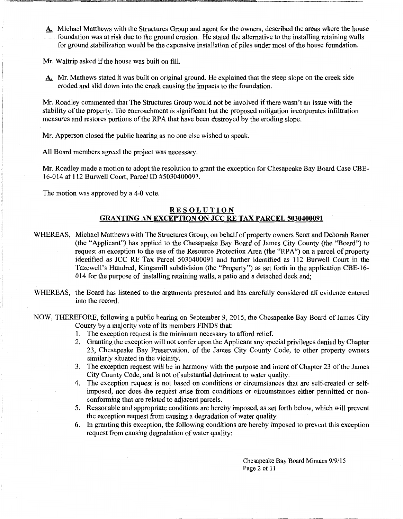A. Michael Matthews with the Structures Group and agent for the owners, described the areas where the house foundation was at risk due to the ground erosion. He stated the alternative to the installing retaining walls for ground stabilization would be the expensive installation of piles under most of the house foundation.

Mr. Waltrip asked if the house was built on fill.

A. Mr. Mathews stated it was built on original ground. He explained that the steep slope on the creek side eroded and slid down into the creek causing the impacts to the foundation.

Mr. Roadley commented that The Structures Group would not be involved if there wasn't an issue with the stability of the property. The encroachment is significant but the proposed mitigation incorporates infiltration measures and restores portions of the RPA that have been destroyed by the eroding slope.

Mr. Apperson closed the public hearing as no one else wished to speak.

All Board members agreed the project was necessary.

Mr. Roadley made a motion to adopt the resolution to grant the exception for Chesapeake Bay Board Case CBE-16-014 at 112 Burwell Court, Parcel ID #5030400091.

The motion was approved by a 4-0 vote.

## RESOLUTION GRANTING AN EXCEPTION ON JCC RE TAX PARCEL 5030400091

- WHEREAS, Michael Matthews with The Structures Group, on behalf of property owners Scott and Deborah Ramer (the "Applicant") has applied to the Chesapeake Bay Board of James City County (the "Board") to request an exception to the use of the Resource Protection Area (the "RPA") on a parcel of property identified as JCC RE Tax Parcel 5030400091 and further identified as 112 Burwell Court in the Tazewell's Hundred, Kingsmill subdivision (the "Property") as set forth in the application CBE-16- 014 for the purpose of installing retaining walls, a patio and a detached deck and;
- WHEREAS, the Board has listened to the arguments presented and has carefully considered all evidence entered into the record.

NOW, THEREFORE, following a public hearing on September 9, 2015, the Chesapeake Bay Board of James City County by a majority vote of its members FINDS that:

- 1. The exception request is the minimum necessary to afford relief.
- 2. Granting the exception will not confer upon the Applicant any special privileges denied by Chapter 23, Chesapeake Bay Preservation, of the James City County Code, to other property owners similarly situated in the vicinity.
- 3. The exception request will be in harmony with the purpose and intent of Chapter 23 of the James City County Code, and is not of substantial detriment to water quality.
- 4. The exception request is not based on conditions or circumstances that are self-created or selfimposed, nor does the request arise from conditions or circumstances either permitted or nonconforming that are related to adjacent parcels.
- 5. Reasonable and appropriate conditions are hereby imposed, as set forth below, which will prevent the exception request from causing a degradation of water quality.
- 6. In granting this exception, the following conditions are hereby imposed to prevent this exception request from causing degradation of water quality:

Chesapeake Bay Board Minutes 9/9/15 Page 2 of 11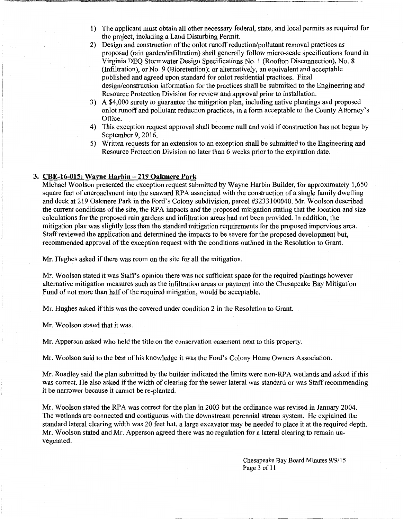- 1) The applicant must obtain all other necessary federal, state, and local permits as required for the project, including a Land Disturbing Permit.
- 2) Design and construction of the onlot runoff reduction/pollutant removal practices as proposed (rain garden/infiltration) shall generally follow micro-scale specifications found in Virginia DEQ Stormwater Design Specifications No. 1 (Rooftop Disconnection), No. 8 (Infiltration), or No. 9 (Bioretention); or alternatively, an equivalent and acceptable published and agreed upon standard for onlot residential practices. Final design/construction information for the practices shall be submitted to the Engineering and Resource Protection Division for review and approval prior to installation.
- 3) A \$4,000 surety to guarantee the mitigation plan, including native plantings and proposed onlot runoff and pollutant reduction practices, in a form acceptable to the County Attorney's Office.
- 4) This exception request approval shall become null and void if construction has not begun by September 9, 2016.
- 5) Written requests for an extension to an exception shall be submitted to the Engineering and Resource Protection Division no later than 6 weeks prior to the expiration date.

### 3. CBE-16-015: Wayne Harbin-219 Oakmere Park

Michael Woolson presented the exception request submitted by Wayne Harbin Builder, for approximately 1,650 square feet of encroachment into the seaward RPA associated with the construction of a single family dwelling and deck at 219 Oakmere Park in the Ford's Colony subdivision, parcel #3233100040. Mr. Woolson described the current conditions of the site, the RPA impacts and the proposed mitigation stating that the location and size calculations for the proposed rain gardens and infiltration areas had not been provided. In addition, the mitigation plan was slightly less than the standard mitigation requirements for the proposed impervious area. Staff reviewed the application and determined the impacts to be severe for the proposed development but, recommended approval of the exception request with the conditions outlined in the Resolution to Grant.

Mr. Hughes asked if there was room on the site for all the mitigation.

Mr. Woolson stated it was Staffs opinion there was not sufficient space for the required plantings however alternative mitigation measures such as the infiltration areas or payment into the Chesapeake Bay Mitigation Fund of not more than half of the required mitigation, would be acceptable.

Mr. Hughes asked if this was the covered under condition 2 in the Resolution to Grant.

Mr. Woolson stated that it was.

Mr. Apperson asked who held the title on the conservation easement next to this property.

Mr. Woolson said to the best of his knowledge it was the Ford's Colony Home Owners Association.

Mr. Roadley said the plan submitted by the builder indicated the limits were non-RP A wetlands and asked if this was correct. He also asked if the width of clearing for the sewer lateral was standard or was Staff recommending it be narrower because it cannot be re-planted.

Mr. Woolson stated the RPA was correct for the plan in 2003 but the ordinance was revised in January 2004. The wetlands are connected and contiguous with the downstream perennial stream system. He explained the standard lateral clearing width was 20 feet but, a large excavator may be needed to place it at the required depth. Mr. Woolson stated and Mr. Apperson agreed there was no regulation for a lateral clearing to remain unvegetated.

> Chesapeake Bay Board Minutes 9/9/15 Page 3 of 11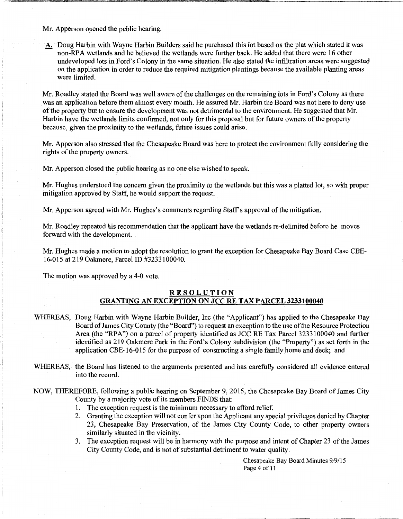Mr. Apperson opened the public hearing.

A. Doug Harbin with Wayne Harbin Builders said he purchased this lot based on the plat which stated it was non-RPA wetlands and he believed the wetlands were further back. He added that there were 16 other undeveloped lots in Ford's Colony in the same situation. He also stated the infiltration areas were suggested on the application in order to reduce the required mitigation plantings because the available planting areas were limited.

Mr. Roadley stated the Board was well aware of the challenges on the remaining lots in Ford's Colony as there was an application before them almost every month. He assured Mr. Harbin the Board was not here to deny use of the property but to ensure the development was not detrimental to the environment. He suggested that Mr. Harbin have the wetlands limits confirmed, not only for this proposal but for future owners of the property because, given the proximity to the wetlands, future issues could arise.

Mr. Apperson also stressed that the Chesapeake Board was here to protect the environment fully considering the rights of the property owners.

Mr. Apperson closed the public hearing as no one else wished to speak.

Mr. Hughes understood the concern given the proximity to the wetlands but this was a platted lot, so with proper mitigation approved by Staff, he would support the request.

Mr. Apperson agreed with Mr. Hughes's comments regarding Staff's approval of the mitigation.

Mr. Roadley repeated his recommendation that the applicant have the wetlands re-delimited before he moves forward with the development.

Mr. Hughes made a motion to adopt the resolution to grant the exception for Chesapeake Bay Board Case CBE-16-015 at 219 Oakmere, Parcel ID #3233100040.

The motion was approved by a 4-0 vote.

## RESOLUTION GRANTING AN EXCEPTION ON JCC RE TAX PARCEL 3233100040

- WHEREAS, Doug Harbin with Wayne Harbin Builder, Inc (the "Applicant") has applied to the Chesapeake Bay Board of James City County (the "Board") to request an exception to the use of the Resource Protection Area (the "RPA") on a parcel of property identified as JCC RE Tax Parcel 3233100040 and further identified as 219 Oakmere Park in the Ford's Colony subdivision (the "Property") as set forth in the application CBE-16-015 for the purpose of constructing a single family home and deck; and
- WHEREAS, the Board has listened to the arguments presented and has carefully considered all evidence entered into the record.

NOW, THEREFORE, following a public hearing on September 9, 2015, the Chesapeake Bay Board of James City County by a majority vote of its members FINDS that:

- 1. The exception request is the minimum necessary to afford relief.
- 2. Granting the exception will not confer upon the Applicant any special privileges denied by Chapter 23, Chesapeake Bay Preservation, of the James City County Code, to other property owners similarly situated in the vicinity.
- 3. The exception request will be in harmony with the purpose and intent of Chapter 23 of the James City County Code, and is not of substantial detriment to water quality.

Chesapeake Bay Board Minutes 9/9/15 Page 4 of 11

,\_::-\_\_\_\_\_ - . \_\_\_ :='"'."'::~ - - ,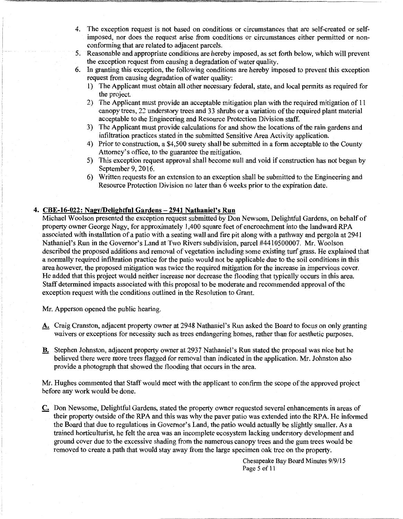- 4. The exception request is not based on conditions or circumstances that are self-created or selfimposed, nor does the request arise from conditions or circumstances either permitted or nonconforming that are related to adjacent parcels.
- 5. Reasonable and appropriate conditions are hereby imposed, as set forth below, which will prevent the exception request from causing a degradation of water quality.
- 6. In granting this exception, the following conditions are hereby imposed to prevent this exception request from causing degradation of water quality:
	- 1) The Applicant must obtain all other necessary federal, state, and local permits as required for the project.
	- 2) The Applicant must provide an acceptable mitigation plan with the required mitigation of 11 canopy trees, 22 understory trees and 33 shrubs or a variation of the required plant material acceptable to the Engineering and Resource Protection Division staff.
	- 3) The Applicant must provide calculations for and show the locations of the rain gardens and infiltration practices stated in the submitted Sensitive Area Activity application.
	- 4) Prior to construction, a \$4,500 surety shall be submitted in a form acceptable to the County Attorney's office, to the guarantee the mitigation.
	- 5) This exception request approval shall become null and void if construction has not begun by September 9, 2016.
	- 6) Written requests for an extension to an exception shall be submitted to the Engineering and Resource Protection Division no later than 6 weeks prior to the expiration date.

## 4. CBE-16-022: Nagy/Delightful Gardens-2941 Nathaniel's Run

Michael Woolson presented the exception request submitted by Don Newsom, Delightful Gardens, on behalf of property owner George Nagy, for approximately 1,400 square feet of encroachment into the landward RP A associated with installation of a patio with a seating wall and fire pit along with a pathway and pergola at 2941 Nathaniel's Run in the Governor's Land at Two Rivers subdivision, parcel #4410500007. Mr. Woolson described the proposed additions and removal of vegetation including some existing turf grass. He explained that a normally required infiltration practice for the patio would not be applicable due to the soil conditions in this area however, the proposed mitigation was twice the required mitigation for the increase in impervious cover. He added that this project would neither increase nor decrease the flooding that typically occurs in this area. Staff determined impacts associated with this proposal to be moderate and recommended approval of the exception request with the conditions outlined in the Resolution to Grant.

Mr. Apperson opened the public hearing.

- A. Craig Cranston, adjacent property owner at 2948 Nathaniel's Run asked the Board to focus on only granting waivers or exceptions for necessity such as trees endangering homes, rather than for aesthetic purposes.
- B. Stephen Johnston, adjacent property owner at 2937 Nathaniel's Run stated the proposal was nice but he believed there were more trees flagged for removal than indicated in the application. Mr. Johnston also provide a photograph that showed the flooding that occurs in the area.

Mr. Hughes commented that Staff would meet with the applicant to confirm the scope of the approved project before any work would be done.

C. Don Newsome, Delightful Gardens, stated the property owner requested several enhancements in areas of their property outside of the RPA and this was why the paver patio was extended into the RPA. He informed the Board that due to regulations in Governor's Land, the patio would actually be slightly smaller. As a trained horticulturist, he felt the area was an incomplete ecosystem lacking understory development and ground cover due to the excessive shading from the numerous canopy trees and the gum trees would be removed to create a path that would stay away from the large specimen oak tree on the property.

> Chesapeake Bay Board Minutes 9/9/15 Page 5 of 11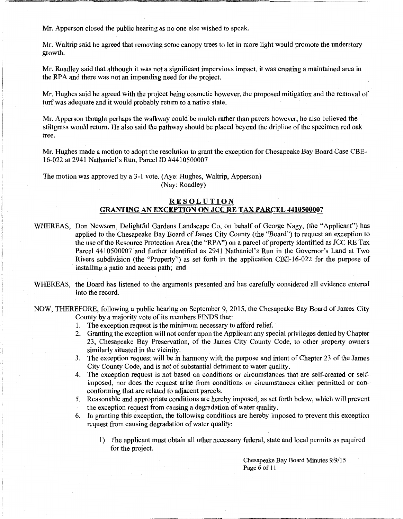Mr. Apperson closed the public hearing as no one else wished to speak.

Mr. Waltrip said he agreed that removing some canopy trees to let in more light would promote the understory growth.

Mr. Roadley said that although it was not a significant impervious impact, it was creating a maintained area in the RPA and there was not an impending need for the project.

Mr. Hughes said he agreed with the project being cosmetic however, the proposed mitigation and the removal of turf was adequate and it would probably return to a native state.

Mr. Apperson thought perhaps the walkway could be mulch rather than pavers however, he also believed the stiltgrass would return. He also said the pathway should be placed beyond the dripline of the specimen red oak tree.

Mr. Hughes made a motion to adopt the resolution to grant the exception for Chesapeake Bay Board Case CBE-16-022 at 2941 Nathaniel's Run, Parcel ID #4410500007

The motion was approved by a 3-1 vote. (Aye: Hughes, Waltrip, Apperson) (Nay: Roadley)

### RESOLUTION GRANTING AN EXCEPTION ON JCC RE TAX PARCEL 4410500007

- WHEREAS, Don Newsom, Delightful Gardens Landscape Co, on behalf of George Nagy, (the "Applicant") has applied to the Chesapeake Bay Board of James City County (the "Board") to request an exception to the use of the Resource Protection Area (the "RPA") on a parcel of property identified as JCC RE Tax Parcel 4410500007 and further identified as 2941 Nathaniel's Run in the Governor's Land at Two Rivers subdivision (the "Property") as set forth in the application CBE-16-022 for the purpose of installing a patio and access path; and
- WHEREAS, the Board has listened to the arguments presented and has carefully considered all evidence entered into the record.

NOW, THEREFORE, following a public hearing on September 9, 2015, the Chesapeake Bay Board of James City County by a majority vote of its members FINDS that:

- 1. The exception request is the minimum necessary to afford relief.
- 2. Granting the exception will not confer upon the Applicant any special privileges denied by Chapter 23, Chesapeake Bay Preservation, of the James City County Code, to other property owners similarly situated in the vicinity.
- 3. The exception request will be in harmony with the purpose and intent of Chapter 23 of the James City County Code, and is not of substantial detriment to water quality.
- 4. The exception request is not based on conditions or circumstances that are self-created or selfimposed, nor does the request arise from conditions or circumstances either permitted or nonconforming that are related to adjacent parcels.
- 5. Reasonable and appropriate conditions are hereby imposed, as set forth below, which will prevent the exception request from causing a degradation of water quality.
- 6. In granting this exception, the following conditions are hereby imposed to prevent this exception request from causing degradation of water quality:
	- 1) The applicant must obtain all other necessary federal, state and local permits as required for the project.

Chesapeake Bay Board Minutes 9/9/15 Page 6 of 11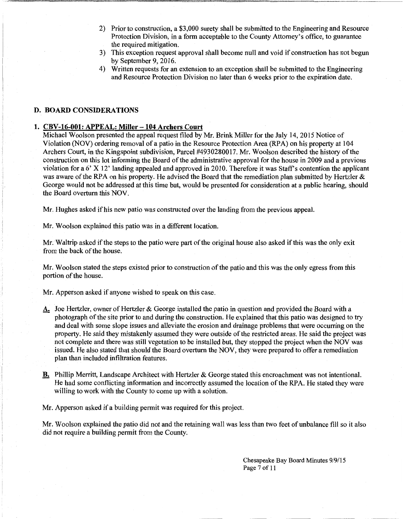- 2) Prior to construction, a \$3,000 surety shall be submitted to the Engineering and Resource Protection Division, in a form acceptable to the County Attorney's office, to guarantee the required mitigation.
- 3) This exception request approval shall become null and void if construction has not begun by September 9, 2016.
- 4) Written requests for an extension to an exception shall be submitted to the Engineering and Resource Protection Division no later than 6 weeks prior to the expiration date.

### D. BOARD CONSIDERATIONS

### 1. CBV-16-001: APPEAL: Miller-104 Archers Court

Michael Woolson presented the appeal request filed by Mr. Brink Miller for the July 14, 2015 Notice of Violation (NOV) ordering removal of a patio in the Resource Protection Area (RPA) on his property at 104 Archers Court, in the Kingspoint subdivision, Parcel #4930280017. Mr. Woolson described the history of the construction on this lot informing the Board of the administrative approval for the house in 2009 and a previous violation for a  $6'$  X 12' landing appealed and approved in 2010. Therefore it was Staff's contention the applicant was aware of the RPA on his property. He advised the Board that the remediation plan submitted by Hertzler  $\&$ George would not be addressed at this time but, would be presented for consideration at a public hearing, should the Board overturn this NOV.

Mr. Hughes asked if his new patio was constructed over the landing from the previous appeal.

Mr. Woolson explained this patio was in a different location.

Mr. Waltrip asked if the steps to the patio were part of the original house also asked if this was the only exit from the back of the house.

Mr. Woolson stated the steps existed prior to construction of the patio and this was the only egress from this portion of the house.

Mr. Apperson asked if anyone wished to speak on this case.

- A. Joe Hertzler, owner of Hertzler & George installed the patio in question and provided the Board with a photograph of the site prior to and during the construction. He explained that this patio was designed to try and deal with some slope issues and alleviate the erosion and drainage problems that were occurring on the property. He said they mistakenly assumed they were outside of the restricted areas. He said the project was not complete and there was still vegetation to be installed but, they stopped the project when the NOV was issued. He also stated that should the Board overturn the NOV, they were prepared to offer a remediation plan than included infiltration features.
- B. Phillip Merritt, Landscape Architect with Hertzler & George stated this encroachment was not intentional. He had some conflicting information and incorrectly assumed the location of the RPA. He stated they were willing to work with the County to come up with a solution.

Mr. Apperson asked if a building permit was required for this project.

Mr. Woolson explained the patio did not and the retaining wall was less than two feet of unbalance fill so it also did not require a building permit from the County.

> Chesapeake Bay Board Minutes 9/9/15 Page 7 of 11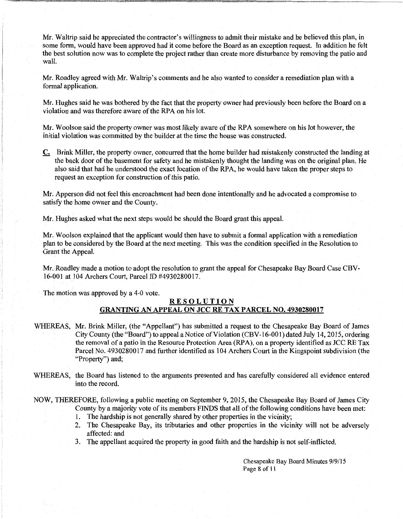Mr. Waltrip said he appreciated the contractor's willingness to admit their mistake and he believed this plan, in some form, would have been approved had it come before the Board as an exception request. In addition he felt the best solution now was to complete the project rather than create more disturbance by removing the patio and wall.

Mr. Roadley agreed with Mr. Waltrip's comments and he also wanted to consider a remediation plan with a formal application.

Mr. Hughes said he was bothered by the fact that the property owner had previously been before the Board on a violation and was therefore aware of the RPA on his lot.

Mr. Woolson said the property owner was most likely aware of the RPA somewhere on his lot however, the initial violation was committed by the builder at the time the house was constructed.

C. Brink Miller, the property owner, concurred that the home builder had mistakenly constructed the landing at the back door of the basement for safety and he mistakenly thought the landing was on the original plan. He also said that had he understood the exact location of the RPA, he would have taken the proper steps to request an exception for construction of this patio.

Mr. Apperson did not feel this encroachment had been done intentionally and he advocated a compromise to satisfy the home owner and the County.

Mr. Hughes asked what the next steps would be should the Board grant this appeal.

Mr. Woolson explained that the applicant would then have to submit a formal application with a remediation plan to be considered by the Board at the next meeting. This was the condition specified in the Resolution to Grant the Appeal.

Mr. Roadley made a motion to adopt the resolution to grant the appeal for Chesapeake Bay Board Case CBV-16-001 at 104 Archers Court, Parcel ID #4930280017.

The motion was approved by a 4-0 vote.

# RESOLUTION GRANTING AN APPEAL ON JCC RE TAX PARCEL NO. 4930280017

- WHEREAS, Mr. Brink Miller, (the "Appellant") has submitted a request to the Chesapeake Bay Board of James City County (the "Board") to appeal a Notice of Violation (CBV-16-001) dated July 14, 2015, ordering the removal of a patio in the Resource Protection Area (RP A), on a property identified as JCC RE Tax Parcel No. 4930280017 and further identified as 104 Archers Court in the Kingspoint subdivision (the "Property") and;
- WHEREAS, the Board has listened to the arguments presented and has carefully considered all evidence entered into the record.

NOW, THEREFORE, following a public meeting on September 9, 2015, the Chesapeake Bay Board of James City County by a majority vote of its members FINDS that all of the following conditions have been met:

- The hardship is not generally shared by other properties in the vicinity;
- 2. The Chesapeake Bay, its tributaries and other properties in the vicinity will not be adversely affected: and
- 3. The appellant acquired the property in good faith and the hardship is not self-inflicted.

Chesapeake Bay Board Minutes 9/9/15 Page 8 of 11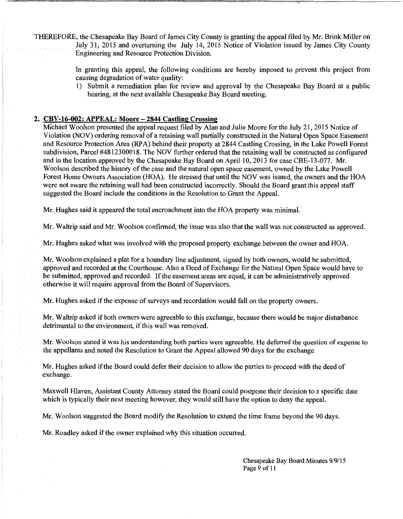THEREFORE, the Chesapeake Bay Board of James City County is granting the appeal filed by Mr. Brink Miller on . July 31, 2015 and overturning the July 14, 2015 Notice of Violation issued by James City County Engineering and Resource Protection Division.

> In granting this appeal, the following conditions are hereby imposed to prevent this project from causing degradation of water quality:

> 1) Submit a remediation plan for review and approval by the Chesapeake Bay Board at a public hearing, at the next available Chesapeake Bay Board meeting.

## **2. CBV-16-002: APPEAL: Moore-2844 Castling Crossing**

Michael Woolson presented the appeal request filed by Alan and Julie Moore for the July 21, 2015 Notice of Violation (NOV) ordering removal of a retaining wall partially constructed in the Natural Open Space Easement and Resource Protection Area (RPA) behind their property at 2844 Castling Crossing, in the Lake Powell Forest subdivision, Parcel #4812300018. The NOV further ordered that the retaining wall be constructed as configured and in the location approved by the Chesapeake Bay Board on April 10, 2013 for case CBE-13-077. Mr. Woolson described the history of the case and the natural open space easement, owned by the Lake Powell Forest Home Owners Association (HOA). He stressed that until the NOV was issued, the owners and the HOA were not aware the retaining wall had been constructed incorrectly. Should the Board grant this appeal staff suggested the Board include the conditions in the Resolution to Grant the Appeal.

Mr. Hughes said it appeared the total encroachment into the HOA property was minimal.

Mr. Waltrip said and Mr. Woolson confirmed, the issue was also that the wall was not constructed as approved.

Mr. Hughes asked what was involved with the proposed property exchange between the owner and HOA.

Mr. Woolson explained a plat for a boundary line adjustment, signed by both owners, would be submitted, approved and recorded at the Courthouse. Also a Deed of Exchange for the Natural Open Space would have to be submitted, approved and recorded. If the easement areas are equal, it can be administratively approved otherwise it will require approval from the Board of Supervisors.

Mr. Hughes asked if the expense of surveys and recordation would fall on the property owners.

Mr. Waltrip asked if both owners were agreeable to this exchange, because there would be major disturbance detrimental to the environment, if this wall was removed.

Mr. Woolson stated it was his understanding both parties were agreeable. He deferred the question of expense to the appellants and noted the Resolution to Grant the Appeal allowed 90 days for the exchange.

Mr. Hughes asked if the Board could defer their decision to allow the parties to proceed with the deed of exchange.

Maxwell Hlaven, Assistant County Attorney stated the Board could postpone their decision to a specific date which is typically their next meeting however, they would still have the option to deny the appeal.

Mr. Woolson suggested the Board modify the Resolution to extend the time frame beyond the 90 days.

Mr. Roadley asked if the owner explained why this situation occurred.

Chesapeake Bay Board Minutes 9/9/15 Page 9 of 11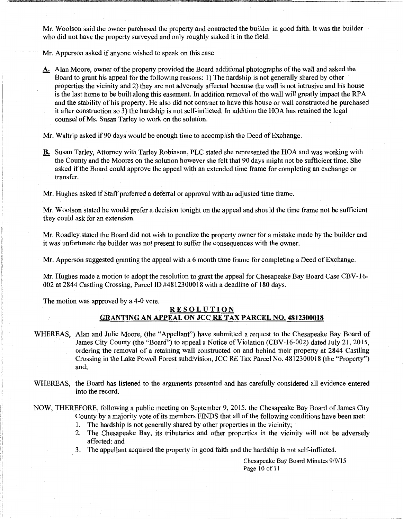Mr. Woolson said the owner purchased the property and contracted the builder in good faith. It was the builder who did not have the property surveyed and only roughly staked it in the field.

Mr. Apperson asked if anyone wished to speak on this case

A. Alan Moore, owner of the property provided the Board additional photographs of the wall and asked the Board to grant his appeal for the following reasons: 1) The hardship is not generally shared by other properties the vicinity and 2) they are not adversely affected because the wall is not intrusive and his house is the last home to be built along this easement. In addition removal of the wall will greatly impact the RPA and the stability of his property. He also did not contract to have this house or wall constructed he purchased it after construction so 3) the hardship is not self-inflicted. In addition the HOA has retained the legal counsel of Ms. Susan Tarley to work on the solution.

Mr. Waltrip asked if90 days would be enough time to accomplish the Deed of Exchange.

B. Susan Tarley, Attorney with Tarley Robinson, PLC stated she represented the HOA and was working with the County and the Moores on the solution however she felt that 90 days might not be sufficient time. She asked if the Board could approve the appeal with an extended time frame for completing an exchange or transfer.

Mr. Hughes asked if Staff preferred a deferral or approval with an adjusted time frame.

Mr. Woolson stated he would prefer a decision tonight on the appeal and should the time frame not be sufficient they could ask for an extension.

Mr. Roadley stated the Board did not wish to penalize the property owner for a mistake made by the builder and it was unfortunate the builder was not present to suffer the consequences with the owner.

Mr. Apperson suggested granting the appeal with a 6 month time frame for completing a Deed of Exchange.

Mr. Hughes made a motion to adopt the resolution to grant the appeal for Chesapeake Bay Board Case CBV-16- 002 at 2844 Castling Crossing, Parcel ID #4812300018 with a deadline of 180 days.

The motion was approved by a 4-0 vote.

## RESOLUTION GRANTING AN APPEAL ON JCC RE TAX PARCEL NO. 4812300018

- WHEREAS, Alan and Julie Moore, (the "Appellant") have submitted a request to the Chesapeake Bay Board of James City County (the "Board") to appeal a Notice of Violation (CBV-16-002) dated July 21, 2015, ordering the removal of a retaining wall constructed on and behind their property at 2844 Castling Crossing in the Lake Powell Forest subdivision, JCC RE Tax Parcel No. 4812300018 (the "Property") and;
- WHEREAS, the Board has listened to the arguments presented and has carefully considered all evidence entered into the record.

NOW, THEREFORE, following a public meeting on September 9, 2015, the Chesapeake Bay Board of James City County by a majority vote of its members FINDS that all of the following conditions have been met:

- 1. The hardship is not generally shared by other properties in the vicinity;
- 2. The Chesapeake Bay, its tributaries and other properties in the vicinity will not be adversely affected: and
- 3. The appellant acquired the property in good faith and the hardship is not self-inflicted.

Chesapeake Bay Board Minutes 9/9/15 Page 10 of 11